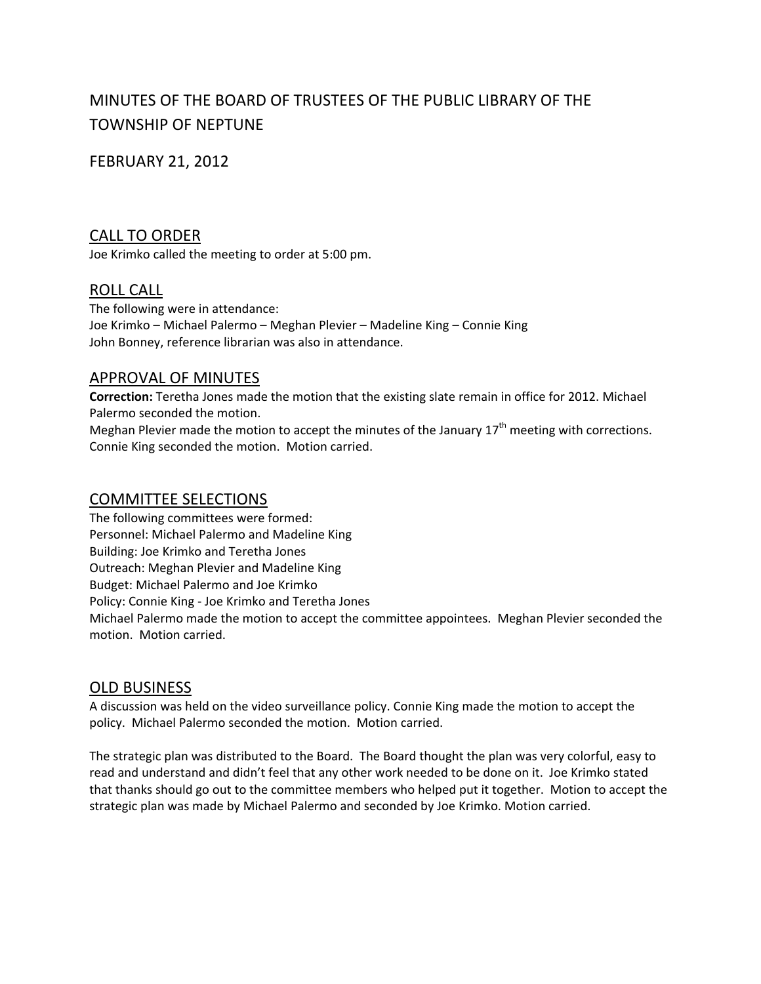# MINUTES OF THE BOARD OF TRUSTEES OF THE PUBLIC LIBRARY OF THE TOWNSHIP OF NEPTUNE

# FEBRUARY 21, 2012

# CALL TO ORDER

Joe Krimko called the meeting to order at 5:00 pm.

# ROLL CALL

The following were in attendance: Joe Krimko – Michael Palermo – Meghan Plevier – Madeline King – Connie King John Bonney, reference librarian was also in attendance.

# APPROVAL OF MINUTES

**Correction:** Teretha Jones made the motion that the existing slate remain in office for 2012. Michael Palermo seconded the motion.

Meghan Plevier made the motion to accept the minutes of the January  $17<sup>th</sup>$  meeting with corrections. Connie King seconded the motion. Motion carried.

# COMMITTEE SELECTIONS

The following committees were formed: Personnel: Michael Palermo and Madeline King Building: Joe Krimko and Teretha Jones Outreach: Meghan Plevier and Madeline King Budget: Michael Palermo and Joe Krimko Policy: Connie King ‐ Joe Krimko and Teretha Jones Michael Palermo made the motion to accept the committee appointees. Meghan Plevier seconded the motion. Motion carried.

# OLD BUSINESS

A discussion was held on the video surveillance policy. Connie King made the motion to accept the policy. Michael Palermo seconded the motion. Motion carried.

The strategic plan was distributed to the Board. The Board thought the plan was very colorful, easy to read and understand and didn't feel that any other work needed to be done on it. Joe Krimko stated that thanks should go out to the committee members who helped put it together. Motion to accept the strategic plan was made by Michael Palermo and seconded by Joe Krimko. Motion carried.